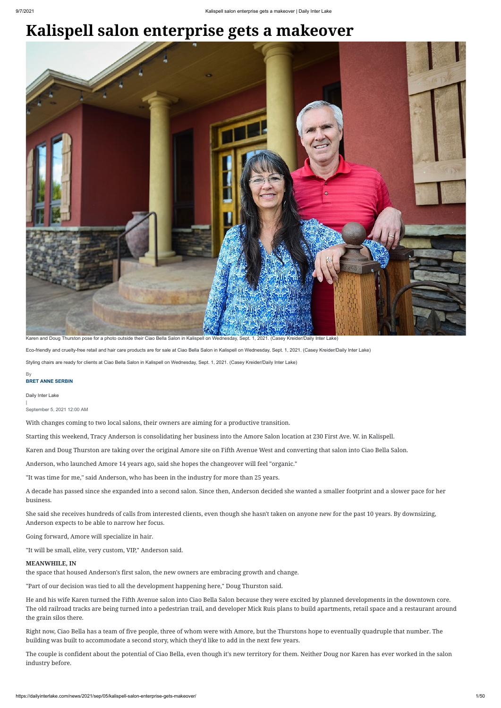## **Kalispell salon enterprise gets a makeover**

Daily Inter Lake

| September 5, 2021 12:00 AM

With changes coming to two local salons, their owners are aiming for a productive transition.

Starting this weekend, Tracy Anderson is consolidating her business into the Amore Salon location at 230 First Ave. W. in Kalispell.

Karen and Doug Thurston are taking over the original Amore site on Fifth Avenue West and converting that salon into Ciao Bella Salon.

Anderson, who launched Amore 14 years ago, said she hopes the changeover will feel "organic."

"It was time for me," said Anderson, who has been in the industry for more than 25 years.

A decade has passed since she expanded into a second salon. Since then, Anderson decided she wanted a smaller footprint and a slower pace for her business.

She said she receives hundreds of calls from interested clients, even though she hasn't taken on anyone new for the past 10 years. By downsizing, Anderson expects to be able to narrow her focus.

Going forward, Amore will specialize in hair.

"It will be small, elite, very custom, VIP," Anderson said.

## **MEANWHILE, IN**

the space that housed Anderson's first salon, the new owners are embracing growth and change.

"Part of our decision was tied to all the development happening here," Doug Thurston said.

## **BRET ANNE SERBIN** By

He and his wife Karen turned the Fifth Avenue salon into Ciao Bella Salon because they were excited by planned developments in the downtown core. The old railroad tracks are being turned into a pedestrian trail, and developer Mick Ruis plans to build apartments, retail space and a restaurant around the grain silos there.

Right now, Ciao Bella has a team of five people, three of whom were with Amore, but the Thurstons hope to eventually quadruple that number. The building was built to accommodate a second story, which they'd like to add in the next few years.

The couple is confident about the potential of Ciao Bella, even though it's new territory for them. Neither Doug nor Karen has ever worked in the salon industry before.



Karen and Doug Thurston pose for a photo outside their Ciao Bella Salon in Kalispell on Wednesday, Sept. 1, 2021. (Casey Kreider/Daily Inter Lake)

Eco-friendly and cruelty-free retail and hair care products are for sale at Ciao Bella Salon in Kalispell on Wednesday, Sept. 1, 2021. (Casey Kreider/Daily Inter Lake) Styling chairs are ready for clients at Ciao Bella Salon in Kalispell on Wednesday, Sept. 1, 2021. (Casey Kreider/Daily Inter Lake)